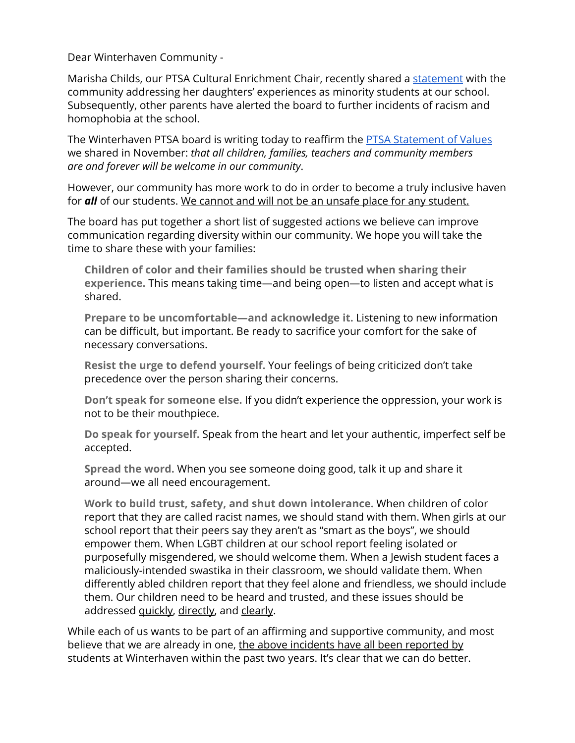Dear Winterhaven Community -

Marisha Childs, our PTSA Cultural Enrichment Chair, recently shared a [statement](https://sites.google.com/a/winterhavenschool.org/home/ptsa/cultural-enrichment/perspectiveofoneparentofcolorbymarishachilds) with the community addressing her daughters' experiences as minority students at our school. Subsequently, other parents have alerted the board to further incidents of racism and homophobia at the school.

The Winterhaven PTSA board is writing today to reaffirm the [PTSA Statement of Values](https://sites.google.com/a/winterhavenschool.org/home/ptsa) we shared in November: *that all children, families, teachers and community members are and forever will be welcome in our community*.

However, our community has more work to do in order to become a truly inclusive haven for *all* of our students. We cannot and will not be an unsafe place for any student.

The board has put together a short list of suggested actions we believe can improve communication regarding diversity within our community. We hope you will take the time to share these with your families:

**Children of color and their families should be trusted when sharing their experience.** This means taking time—and being open—to listen and accept what is shared.

**Prepare to be uncomfortable—and acknowledge it.** Listening to new information can be difficult, but important. Be ready to sacrifice your comfort for the sake of necessary conversations.

**Resist the urge to defend yourself.** Your feelings of being criticized don't take precedence over the person sharing their concerns.

**Don't speak for someone else.** If you didn't experience the oppression, your work is not to be their mouthpiece.

**Do speak for yourself.** Speak from the heart and let your authentic, imperfect self be accepted.

**Spread the word.** When you see someone doing good, talk it up and share it around—we all need encouragement.

**Work to build trust, safety, and shut down intolerance.** When children of color report that they are called racist names, we should stand with them. When girls at our school report that their peers say they aren't as "smart as the boys", we should empower them. When LGBT children at our school report feeling isolated or purposefully misgendered, we should welcome them. When a Jewish student faces a maliciously-intended swastika in their classroom, we should validate them. When differently abled children report that they feel alone and friendless, we should include them. Our children need to be heard and trusted, and these issues should be addressed **quickly**, directly, and clearly.

While each of us wants to be part of an affirming and supportive community, and most believe that we are already in one, the above incidents have all been reported by students at Winterhaven within the past two years. It's clear that we can do better.